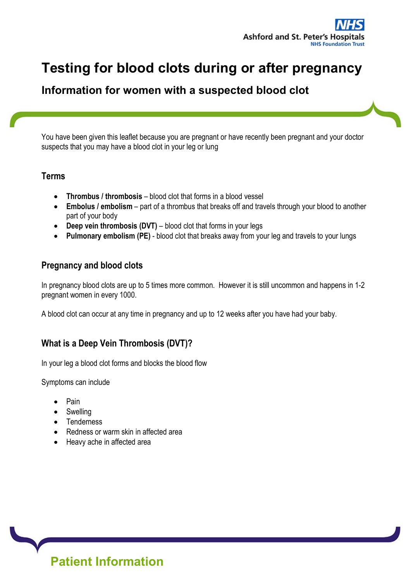

# Testing for blood clots during or after pregnancy

# Information for women with a suspected blood clot

You have been given this leaflet because you are pregnant or have recently been pregnant and your doctor suspects that you may have a blood clot in your leg or lung

#### Terms

- Thrombus / thrombosis blood clot that forms in a blood vessel
- Embolus / embolism part of a thrombus that breaks off and travels through your blood to another part of your body
- Deep vein thrombosis (DVT) blood clot that forms in your legs
- Pulmonary embolism (PE) blood clot that breaks away from your leg and travels to your lungs

#### Pregnancy and blood clots

In pregnancy blood clots are up to 5 times more common. However it is still uncommon and happens in 1-2 pregnant women in every 1000.

A blood clot can occur at any time in pregnancy and up to 12 weeks after you have had your baby.

# What is a Deep Vein Thrombosis (DVT)?

In your leg a blood clot forms and blocks the blood flow

Symptoms can include

- Pain
- Swelling
- Tenderness
- Redness or warm skin in affected area
- Heavy ache in affected area

Patient Information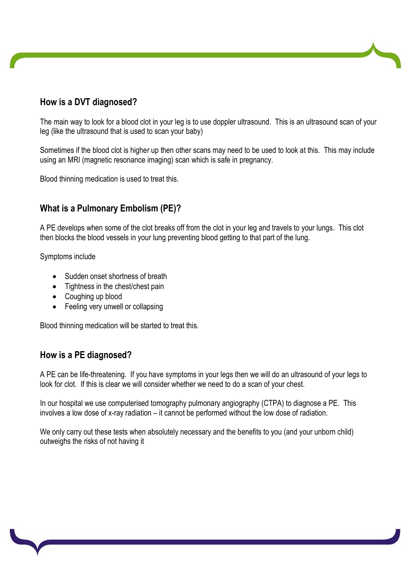# How is a DVT diagnosed?

The main way to look for a blood clot in your leg is to use doppler ultrasound. This is an ultrasound scan of your leg (like the ultrasound that is used to scan your baby)

Sometimes if the blood clot is higher up then other scans may need to be used to look at this. This may include using an MRI (magnetic resonance imaging) scan which is safe in pregnancy.

Blood thinning medication is used to treat this.

# What is a Pulmonary Embolism (PE)?

A PE develops when some of the clot breaks off from the clot in your leg and travels to your lungs. This clot then blocks the blood vessels in your lung preventing blood getting to that part of the lung.

Symptoms include

- Sudden onset shortness of breath
- Tightness in the chest/chest pain
- Coughing up blood
- Feeling very unwell or collapsing

Blood thinning medication will be started to treat this.

#### How is a PE diagnosed?

A PE can be life-threatening. If you have symptoms in your legs then we will do an ultrasound of your legs to look for clot. If this is clear we will consider whether we need to do a scan of your chest.

In our hospital we use computerised tomography pulmonary angiography (CTPA) to diagnose a PE. This involves a low dose of x-ray radiation – it cannot be performed without the low dose of radiation.

We only carry out these tests when absolutely necessary and the benefits to you (and your unborn child) outweighs the risks of not having it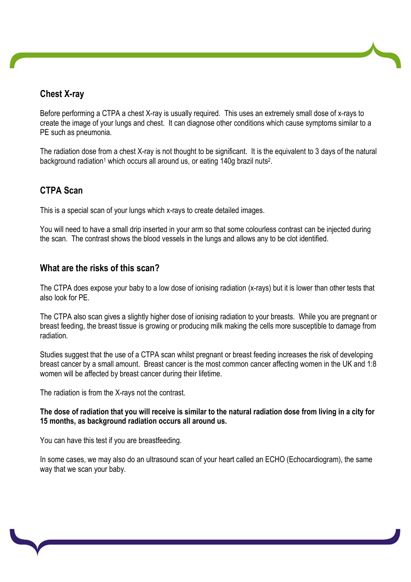# Chest X-ray

Before performing a CTPA a chest X-ray is usually required. This uses an extremely small dose of x-rays to create the image of your lungs and chest. It can diagnose other conditions which cause symptoms similar to a PE such as pneumonia.

The radiation dose from a chest X-ray is not thought to be significant. It is the equivalent to 3 days of the natural background radiation<sup>1</sup> which occurs all around us, or eating 140g brazil nuts<sup>2</sup>.

# CTPA Scan

This is a special scan of your lungs which x-rays to create detailed images.

You will need to have a small drip inserted in your arm so that some colourless contrast can be injected during the scan. The contrast shows the blood vessels in the lungs and allows any to be clot identified.

### What are the risks of this scan?

The CTPA does expose your baby to a low dose of ionising radiation (x-rays) but it is lower than other tests that also look for PE.

The CTPA also scan gives a slightly higher dose of ionising radiation to your breasts. While you are pregnant or breast feeding, the breast tissue is growing or producing milk making the cells more susceptible to damage from radiation.

Studies suggest that the use of a CTPA scan whilst pregnant or breast feeding increases the risk of developing breast cancer by a small amount. Breast cancer is the most common cancer affecting women in the UK and 1:8 women will be affected by breast cancer during their lifetime.

The radiation is from the X-rays not the contrast.

The dose of radiation that you will receive is similar to the natural radiation dose from living in a city for 15 months, as background radiation occurs all around us.

You can have this test if you are breastfeeding.

In some cases, we may also do an ultrasound scan of your heart called an ECHO (Echocardiogram), the same way that we scan your baby.